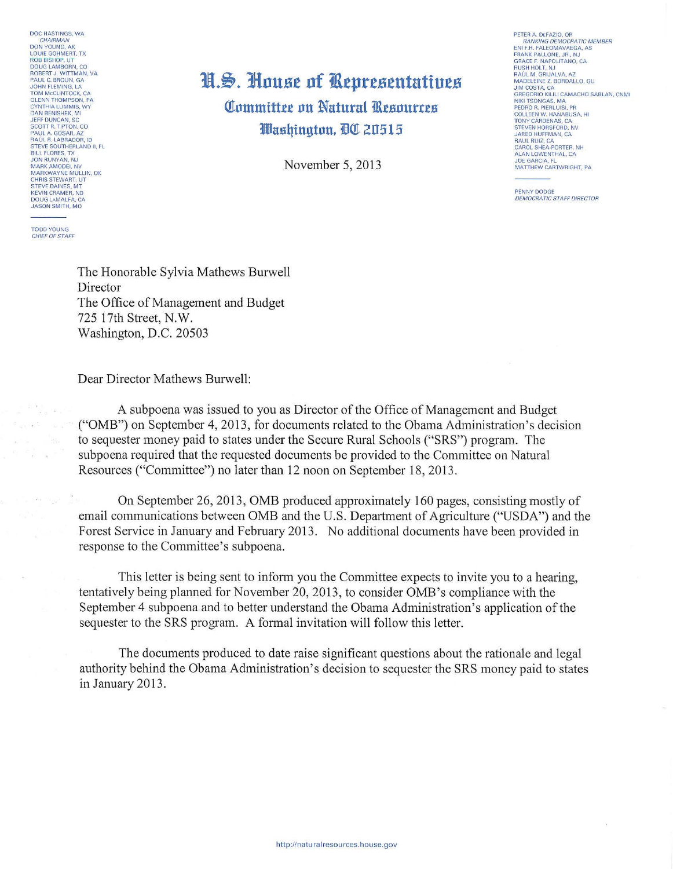DOC HASTINGS, WA CHAIRMAN DON YOUNG, AK<br>LOUIE GOHMERT, TX **ECOLUMENT COMMENT**<br> **ROB BISHOP, UT<br>
DOUG LAMBORN, CO<br>
ROBERT J. WITTMAN, VA<br>
PAUL C. BROUN, GA** JOHN FLEMING, LA<br>TOM MCCLINTOCK, CA<br>GLENN THOMPSON, PA CYNTHIA LUMMIS WY **CYNTHIA LUMMIS, WY<br>DAN BENISHEK, MI<br>JEFF DUNCAN, SC<br>SCOTT R. TIPTON, CO SCOTT AT TIP TON, CO<br>PAUL A. GOSAR, AZ<br>RAÚL R. LABRADOR, ID<br>STEVE SOUTHERLAND II, FL** BILL FLORES, TX<br>JON RUNYAN, NJ<br>MARK AMODEI, NV MARKWAYNE MULLIN OK CHRIS STEWART, UT **KEVIN CRAMER, ND** DOUG LAMALFA, CA JASON SMITH, MO

**TODD YOUNG**<br>CHIEF OF STAFF

## H.S. House of Representatives **Committee on Natural Resources** Washinaton. BO 20515

November 5, 2013

PETER A DEFAZIO OR RANKING DEMOCRATIC MEMBER<br>ENLE.H. FALEOMAVAEGA, AS ENTER FACEOMAVACOA, A<br>FRANK PALLONE, JR., NJ<br>GRACE F. NAPOLITANO, CA<br>RUSH HOLT, NJ **RAUL M. GRIJALVA, AZ** MADELEINE Z. BORDALLO, GU<br>JIM COSTA, CA<br>GREGORIO KILILI CAMACHO SABLAN, CNMI NIKI TSONGAS MA NIKI TSONGAS, MA<br>PEDRO R. PIERLUISI, PR<br>COLLEEN W. HANABUSA, HI TONY CÁRDENAS, CA STEVEN HORSFORD, NV RAUL RUIZ, CA<br>CAROL SHEA-PORTER, NH<br>ALAN LOWENTHAL, CA **JOE GARCIA, FL** MATTHEW CARTWRIGHT, PA

PENNY DODGE **DEMOCRATIC STAFF DIRECTOR** 

The Honorable Sylvia Mathews Burwell Director The Office of Management and Budget 725 17th Street, N.W. Washington, D.C. 20503

Dear Director Mathews Burwell:

A subpoena was issued to you as Director of the Office of Management and Budget ("OMB") on September 4, 2013, for documents related to the Obama Administration's decision to sequester money paid to states under the Secure Rural Schools ("SRS") program. The subpoena required that the requested documents be provided to the Committee on Natural Resources ("Committee") no later than 12 noon on September 18, 2013.

On September 26, 2013, OMB produced approximately 160 pages, consisting mostly of email communications between OMB and the U.S. Department of Agriculture ("USDA") and the Forest Service in January and February 2013. No additional documents have been provided in response to the Committee's subpoena.

This letter is being sent to inform you the Committee expects to invite you to a hearing, tentatively being planned for November 20, 2013, to consider OMB's compliance with the September 4 subpoena and to better understand the Obama Administration's application of the sequester to the SRS program. A formal invitation will follow this letter.

The documents produced to date raise significant questions about the rationale and legal authority behind the Obama Administration's decision to sequester the SRS money paid to states in January 2013.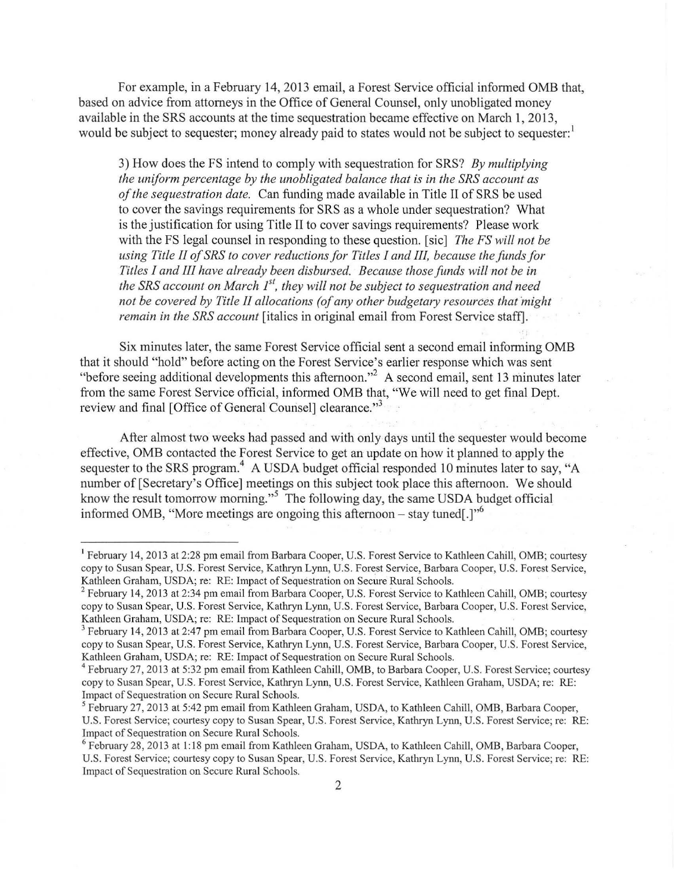For example, in a February 14, 2013 email, a Forest Service official informed OMB that, based on advice from attorneys in the Office of General Counsel, only unobligated money available in the SRS accounts at the time sequestration became effective on March 1, 2013, would be subject to sequester; money already paid to states would not be subject to sequester.<sup>1</sup>

3) How does the FS intend to comply with sequestration for SRS? *By multiplying the uniform percentage by the unobligated balance that is in the SRS account as of the sequestration date.* Can funding made available in Title II of SRS be used to cover the savings requirements for SRS as a whole under sequestration? What is the justification for using Title II to cover savings requirements? Please work with the FS legal counsel in responding to these question. [sic] *The FS will not be using Title II of SRS to cover reductions for Titles I and III, because the funds for Titles I and III have already been disbursed. Because those funds will not be in the SRS account on March 1<sup>st</sup>, they will not be subject to sequestration and need not be covered by Title II allocations (of any other budgetary resources that might remain in the SRS account* [italics in original email from Forest Service staff].

Six minutes later, the same Forest Service official sent a second email informing OMB that it should "hold" before acting on the Forest Service's earlier response which was sent "before seeing additional developments this afternoon."<sup>2</sup> A second email, sent 13 minutes later from the same Forest Service official, informed OMB that, "We will need to get final Dept. review and final [Office of General Counsel] clearance."<sup>3</sup>

After almost two weeks had passed and with only days until the sequester would become effective, OMB contacted the Forest Service to get an update on how it planned to apply the sequester to the SRS program.<sup>4</sup> A USDA budget official responded 10 minutes later to say, "A number of [Secretary's Office] meetings on this subject took place this afternoon. We should know the result tomorrow morning."<sup>5</sup> The following day, the same USDA budget official informed OMB, "More meetings are ongoing this afternoon – stay tuned.]"<sup>6</sup>

<sup>1</sup> February 14, 2013 at 2:28 pm email from Barbara Cooper, U.S. Forest Service to Kathleen Cahill, OMB; courtesy copy to Susan Spear, U.S. Forest Service, Kathryn Ly1m, U.S. Forest Service, Barbara Cooper, U.S. Forest Service, Kathleen Graham, USDA; re: RE: Impact of Sequestration on Secure Rural Schools.

<sup>&</sup>lt;sup>2</sup> February 14, 2013 at 2:34 pm email from Barbara Cooper, U.S. Forest Service to Kathleen Cahill, OMB; courtesy copy to Susan Spear, U.S. Forest Service, Kathryn Lynn, U.S. Forest Service, Barbara Cooper, U.S. Forest Service,

<sup>&</sup>lt;sup>3</sup> February 14, 2013 at 2:47 pm email from Barbara Cooper, U.S. Forest Service to Kathleen Cahill, OMB; courtesy copy to Susan Spear, U.S. Forest Service, Kathryn Lynn, U.S. Forest Service, Barbara Cooper, U.S. Forest Service, Kathleen Graham, USDA; re: RE: Impact of Sequestration on Secure Rural Schools.<br><sup>4</sup> February 27, 2013 at 5:32 pm email from Kathleen Cahill, OMB, to Barbara Cooper, U.S. Forest Service; courtesy

copy to Susan Spear, U.S. Forest Service, Kathryn Lynn, U.S. Forest Service, Kathleen Graham, USDA; re: RE: Impact of Sequestration on Secure Rural Schools.<br><sup>5</sup>February 27, 2013 at 5:42 pm email from Kathleen Graham, USDA, to Kathleen Cahill, OMB, Barbara Cooper,

U.S. Forest Service; courtesy copy to Susan Spear, U.S. Forest Service, Kathryn Lynn, U.S. Forest Service; re: RE: Impact of Sequestration on Secure Rural Schools.<br><sup>6</sup> February 28, 2013 at 1:18 pm email from Kathleen Graham, USDA, to Kathleen Cahill, OMB, Barbara Cooper,

U.S. Forest Service; courtesy copy to Susan Spear, U.S. Forest Service, Kathryn Lynn, U.S. Forest Service; re: RE: Impact of Sequestration on Secure Rural Schools.